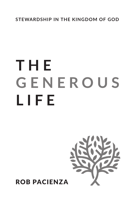**STEWARDSHIP IN THE KINGDOM OF GOD**

# **THE GENEROUS LIFE**



### ROB PACIENZA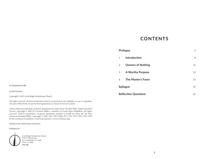### **CONTENTS**

### **Prologue** 5 1 **Introduction** 9 2 **Owners of Nothing** 11 3 **A Worthy Purpose** 13 4 **The Master's Favor** 15 **Epilogue** 17 **Reflection Questions** 21

#### A Generous Life

#### by Rob Pacienza

Copyright © 2021 Coral Ridge Presbyterian Church

All rights reserved. Written permission must be secured from the publisher to use or reproduce any part of this book, except for brief quotations in critical reviews or articles.

Unless otherwise indicated, Scripture quotations are taken from *The Holy Bible, English Standard Version*, copyright © 2001 by Crossway Bibles, a ministry of Good News Publishers. All rights reserved. Used by permission. Scripture quotations marked as NASB are from the the New American Standard Bible. Copyright © 1960, 1962, 1963, 1968, 1971, 1972, 1973, 1975, 1977, 1995 by the Lockman Foundation. Used by permission. (www.Lockman.org)

Printed in the United States of America.

#### Published by:



Coral Ridge Presbyterian Church 5555 N Federal Hwy Fort Lauderdale, FL 33308 (954) 771-8840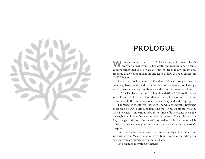

### **PROLOGUE**

**When Jesus came to earth over 2,000 years ago, He revealed God's** heart for humanity in His life, death, and resurrection. He came to serve rather than to be served. He came to die so that we might live. He came to give us abundant life and teach us how to live as citizens in God's Kingdom.

Rather than teaching about the Kingdom of Heaven through scholarly language, Jesus taught with parables because He wanted to challenge worldly wisdom and awaken listeners with an entirely new paradigm.

In "The Parable of the Talents" found in Matthew 25, Jesus illustrates what it means to be God's stewards as we navigate life on earth. It is an exhortation to the Church, a story characterizing God and His people.

The master in the story is likened to God while the servants represent those who belong to His Kingdom. The master has significant wealth, which he entrusts in various portions to three of his servants. He is the owner, but he chooses the servants to be his stewards. Their role is to care for, manage, and invest the owner's possessions. It is the steward's job to take that which belongs to the master and advance it for the master's purposes.

But in order to be a steward who invests wisely and without fear, we must see our Master for who He really is—not an owner who gives sparingly, but an outrageously generous God.

Let's examine the parable together: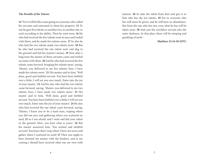#### *The Parable of the Talents*

14 "For it will be like a man going on a journey, who called his servants and entrusted to them his property. **15** To one he gave five talents, to another two, to another one, to each according to his ability. Then he went away. **16** He who had received the five talents went at once and traded with them, and he made five talents more. **17** So also he who had the two talents made two talents more. **18** But he who had received the one talent went and dug in the ground and hid his master's money. **19** Now after a long time the master of those servants came and settled accounts with them. **20** And he who had received the five talents came forward, bringing five talents more, saying, 'Master, you delivered to me five talents; here, I have made five talents more.' **21** His master said to him, 'Well done, good and faithful servant. You have been faithful over a little; I will set you over much. Enter into the joy of your master.' **22** And he also who had the two talents came forward, saying, 'Master, you delivered to me two talents; here, I have made two talents more.' **23** His master said to him, 'Well done, good and faithful servant. You have been faithful over a little; I will set you over much. Enter into the joy of your master.' **24** He also who had received the one talent came forward, saying, 'Master, I knew you to be a hard man, reaping where you did not sow, and gathering where you scattered no seed, **25** so I was afraid, and I went and hid your talent in the ground. Here, you have what is yours.' **26** But his master answered him, 'You wicked and slothful servant! You knew that I reap where I have not sown and gather where I scattered no seed? **27** Then you ought to have invested my money with the bankers, and at my coming I should have received what was my own with

interest. **28** So take the talent from him and give it to him who has the ten talents. **29** For to everyone who has will more be given, and he will have an abundance. But from the one who has not, even what he has will be taken away. **30** And cast the worthless servant into the outer darkness. In that place there will be weeping and gnashing of teeth.'

#### **Matthew 25:14-30 (ESV)**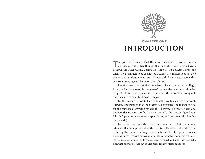

The portion of wealth that the master entrusts to his servants is significant. It is widely thought that one talent was worth 20 years of labor! In other words, during that time if you possessed even one talent, it was enough to be considered wealthy. The master does not give the servants a minuscule portion of his wealth; he entrusts them with a generous amount, each based on their ability.

The first servant takes the five talents given to him and willingly invests it for the master. At the master's return, the servant has doubled his profit. In response, the master commends the servant for doing well and bids him to enter his house with joy.

To the second servant, God entrusts two talents. This servant, likewise, understands that the master has entrusted the talents to him for the purpose of growing his wealth. Therefore, he invests them and doubles the master's profit. The master calls the servant "good and faithful," promises even more responsibility, and welcomes him into his house with joy.

To the third servant, the master gives one talent. But this servant takes a different approach than the first two. He accepts the talent, but believing the master is a tough man, he buries it in the ground. When the master returns and discovers what the servant has done, his response leaves no question. He calls the servant "wicked and slothful" and tells him that he will be cast out of His presence into utter darkness.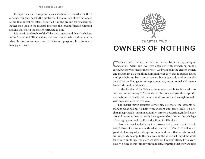#### **THE GENEROUS LIFE**

Perhaps the master's response seems harsh to us. Consider the third servant's mindset: he tells the master that he was afraid of retribution, so rather than invest his talent, he buried it in the ground for safekeeping. Rather than look to the master's interests, the servant feared for himself and hid that which the master entrusted to him.

It is here in the Parable of the Talents we understand that if we belong to the Master and His Kingdom, then we have a distinct calling to take what He gives us and use it for His Kingdom purposes. It is the key to living generously.



# **OWNERS OF NOTHING**

Consider how God set the world in motion from the beginning of Creation. Adam and Eve were entrusted with everything on the earth, but they were never the owners. God was and is the creator, owner, and master. He gave mankind dominion over the earth to subdue it and multiply their number—not as owners, but as stewards working on His behalf. We are His agents and representatives, meant to make His name famous throughout the earth.

In the Parable of the Talents, the master distributes his wealth to each servant *according to his ability*, but he does not give them specific instructions. He trusts that the servants know him well enough to make wise decisions with his resources.

The master never transfers ownership. He trusts the servants to manage what belongs to Him with wisdom and grace. This is a lifechanging principle: our money, family, careers, possessions, indeed every gift and resource, does not really belong to us. God gives us the privilege of managing our wealth, gifts and abilities for His glory.

Have you ever handed a toy to a two-year-old, then tried to take it away? Most of us know exactly what to expect. "Mine!" Toddlers are good at claiming what belongs to them, and even that which doesn't. Nothing truly belongs to them, at least in the sense that they don't work for or earn anything. Ironically, we often act like sophisticated two-yearolds. We cling to our things with tight fists, forgetting that they are gifts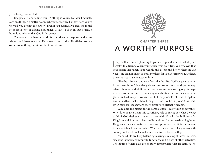given by a gracious God.

Imagine a friend telling you, "Nothing is yours. You don't actually own anything. No matter how much you've sacrificed or how hard you've worked, you are not the owner." Even if you eventually agree, the initial response is one of offense and anger. It takes a shift in our hearts, a humble admission that God is the owner.

The one who is hard at work for the Master's purposes is the one whom the Master rewards. He trusts us to handle His affairs. We are owners of nothing, but stewards of everything.



### **CHAPTER THREE A WORTHY PURPOSE**

**I** wealth to a friend. When you return from your trip, you discover that magine that you are planning to go on a trip and you entrust all your your friend has taken your wealth and assets and blown them in Las Vegas. He did not invest or multiply them for you. He simply squandered the resources you entrusted to him.

Like the third servant, we often take the gifts God has given us and invest them in *us*. We actively determine how our relationships, money, talents, homes, and abilities best serve us and our own glory. Perhaps it seems counterintuitive that using our abilities for our own good and glory can lead to a joyless existence, but the principles of God's Kingdom remind us that what we have been given does not belong to us. Our Godgiven purpose is to steward every gift for His eternal Kingdom.

Why does the master in the parable entrust his wealth to servants? Why does he give them this surprising role of caring for what belongs to him? God desires for us to partner with Him in the building of a Kingdom which is not subject to limitations like our earthly kingdoms. He gives us a meaningful purpose and promises that it is the unseen things which hold eternal value. When we steward what He gives us with courage and wisdom, He welcomes us into His house with joy.

Many adults are busy balancing marriage, raising children, careers, side jobs, hobbies, community functions, and a host of other activities. The hours of their days are so fully appropriated that it's hard *not* to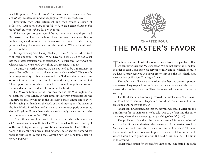#### **THE GENEROUS LIFE**

reach the point of a "midlife crisis." They may think to themselves, *I have everything I wanted, but what is my purpose? Why am I really here?*

Eventually they enter retirement and then comes a season of reflection, *What have I made of my life? What have I accomplished in this world with everything that's been given to me?*

If I asked you to state your life's purpose, what would you say? Businesses, churches, and schools have purpose statements. But as individuals, we don't often clarify our own purpose. In this parable, Jesus is helping His followers answer the question: What is the ultimate purpose of life?

In *Experiencing God*, Henry Blackaby writes, "Find out where God is at work and join Him there." What have you been called to do? What has the Master entrusted you to steward for His purposes? As we wait for Christ's return, we steward everything that He entrusts to us.

To pursue a worthy purpose we do not need to be a missionary or pastor. Every Christian has a unique calling to advance God's Kingdom. It is our responsibility to discern where and how God intends to use each one of us. Is it in our family, our church, our workplace, or our community? Those opportunities which seem small to us are not insignificant to God. He sees what no one else does; He examines the heart.

For 24 years, Emma Daniel Gray took the bus into Washington, DC, to clean the Oval Office. In that time, six different presidents led the country. No matter who sat in the President's chair, Emma ended every day by laying her hands on the back of it and praying for the leader of the Free World. She didn't need a special title or revered position to serve God's Kingdom. Emma Daniel Gray wasn't simply a cleaning lady; she was a missionary to the Oval Office.

This is the calling of the people of God. Anyone who calls themselves a *Christian* is a servant of the Master. We are the salt of the earth and light of the world. Regardless of age, vocation, or season of life, God calls us to work in the family business of leading others to an eternal home where there is fullness of joy and peace. Advancing God's Kingdom is truly a worthy purpose.



# **THE MASTER'S FAVOR**

The final, and most critical lesson we learn from this parable is that we can never earn the Master's favor. We do not serve the Kingdom in order to earn God's favor; we serve it joyfully and sacrificially because we have already received His favor freely through the life, death, and resurrection of His Son. This is good news!

Through their diligence and wisdom, the first two servants pleased the master. They stepped out in faith with their master's wealth, and as a result they doubled his gains. Then, he welcomed them into his house with joy.

The third servant, however, perceived the master as a "hard man" and feared his retribution. His posture toward the master was not one of trust and genuine joy but of fear.

Perhaps it's understandable that the servant was afraid. After all, the punishment for his laziness, as we're told, was to be "cast into the outer darkness, where there is weeping and gnashing of teeth" (v. 30).

The problem is that the third servant operated from a mindset of scarcity. He did not understand the generosity of the master. Would a *hard man* entrust his wealth to his servants in the first place? The least the servant could have done was to place his master's talent in the bank where it would have gained interest. But he did less than that—he hid it in the ground!

Perhaps this option felt most safe to him because he feared the bank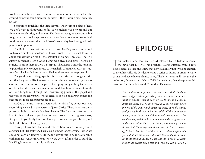would swindle him or lose his master's money. Yet even buried in the ground, someone could discover the talent—then it would most certainly be lost!

Sometimes, much like the third servant, we live from a place of fear. We don't want to disappoint or fail, so we tighten our grip around our time, money, abilities, and energy. The Master may give generously, but we give in measured ways. We cannot give freely because on some level we do not understand that the Master's generosity has been graciously poured out upon us.

The Bible tells us that our cups overflow, God's grace abounds, and we have an endless inheritance in Jesus Christ. He tells us not to worry about our clothes or food—the smallest of things—because God will supply our needs. He is a Good Father who gives good gifts. There is no scarcity in Him; there is always a surplus. The Master wants the servants to pour themselves out, to invest, to live in light of His generosity. Instead, we often play it safe, burying what He has given in order to protect it.

The good news of the gospel is this: God's ultimate act of generosity was that He gave us His Son to take the punishment for our sin. Jesus was cast into outer darkness—the place of weeping and gnashing teeth—on our behalf, and His sacrifice is now our model for how to live as stewards of God's Kingdom. Through the transforming power of the gospel and the work of the Holy Spirit, we can release our hold on earthly things and become the most generous people of all.

As God's stewards, we can operate with a spirit of joy because we have everything we need in the person of Jesus Christ. There is no reason to protect or hide that which God has given us. The favor and affection you long for is not given to you based on your work or your righteousness; it is given to you freely based on Jesus' performance on your behalf, and that realization will bring you joy.

Through Jesus' life, death, and resurrection, we are not only God's servants, but His children. This is God's model of generosity—when we could not earn or deserve it, He made a way for us to be in relationship with Him forever. He invites us to steward every gift in order to build the His Kingdom on earth as it is in Heaven.

### **EPILOGUE**

Terminally ill and confined to a wheelchair, David Ireland received the news that his wife was pregnant. David suffered from a rare neurological disease and knew that he would likely not live long enough to meet his child. He decided to write a series of letters in order to share things he'd never have a chance to say. The letters eventually became the collection, *Letters to an Unborn Child*. In one letter, David expressed his affection for his wife, the child's mother. He wrote:

> *Your mother is so special. Few men know what it's like to receive appreciation for taking their wives out to dinner, what it entails, what it does for us. It means she has to dress me, shave me, brush my teeth, comb my hair, wheel me out of the house and down the steps, open the garage and put me in the car, take the pedals off the chair, stand me up, sit me in the seat of the car, twist me around so I'm comfortable, fold the wheelchair, put it in the car, go around to the other side of the car, start it up, back it out, get out of the car, pull the garage door down, get into the car, drive it off to the restaurant. And then it starts all over again. She gets out of the car, unfolds the wheelchair, opens the door, spins me around, stands me up, sits me in the wheelchair, pushes the pedals out, closes and locks the car, wheels me*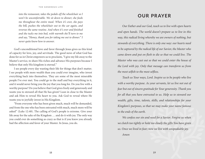*into the restaurant, takes the pedals off the wheelchair so I won't be uncomfortable. We sit down to dinner; she feeds me throughout the entire meal. When it's over, she pays the bill, pushes the wheelchair out to the car again, and reverses the same routine. And when it's over and finished and she tucks me into bed, with warmth she'll turn to me and say, "Honey, thank you for taking me out to dinner." I never quite know how to answer.*

God's unconditional love and favor through Jesus gives us this kind of capacity for love, joy, and servitude. The good news of what God has done for us in Christ empowers us to proclaim, "I give my life away to the Master's service, to share His riches and advance His purposes because I believe that only His kingdom is eternal."

I see people every day wasting their life for things that don't matter. I see people with more wealth than you could ever imagine, who invest everything back into themselves. They are some of the most miserable people I've ever met. You could go to the mall and buy everything in it, and it would never bring you the joy that you long for. Do you live with a worthy purpose? Do you believe that God gives freely and generously and wants you to steward all that He has given? Lean in close to the Master and ask Him to reveal His heart to you. Ask God to reveal where He wants you to joyfully invest in His Kingdom.

"From everyone who has been given much, much will be demanded, and from the one who has been entrusted with much, much more will be asked" (Luke 12:48). The calling of God's people is extreme. Give your life away for the sake of the Kingdom … and do it with joy. The only way you could ever do something as crazy as that is if you knew you already had the affection and favor of your Master. In Jesus, you do.

### **OUR PRAYER**

*Our Father and our God, teach us to live with open hearts and open hands. The world doesn't prepare us to live in this way, this radical living whereby we are owners of nothing, but stewards of everything. There is only one way: our hearts need to be captured by the radical life of our Savior, the Master who came down and put on flesh to die so that we could live. The Master who was cast out so that we could enter the house of the Lord with joy. Only that message can transform us from the most selfish to the most selfless.* 

*Teach us Your ways, Lord. Inspire us to be people who live*  with a worthy purpose. As your servants, let us live not out of *fear but out of sincere gratitude for Your generosity. Thank you for all that you have entrusted to us. Help us to steward our wealth, gifts, time, talents, skills, and relationships for your Kingdom's purposes, so that we may make your name famous to the ends of the earth.* 

*We confess our sin and need for a Savior. Forgive us when we clutch too tightly or hold too closely the gifts You have given us. Once we lived in fear; now we live with unspeakable joy. Amen*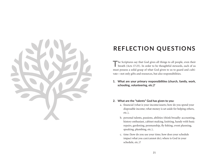

## **REFLECTION QUESTIONS**

The Scriptures say that God gives all things to all people, even their breath (Acts 17:25). In order to be thoughtful stewards, each of us must possess a solid grasp of what God given to us to guard and cultivate—not only gifts and resources, but also responsibilities.

- **1. What are your primary responsibilities (church, family, work, schooling, volunteering, etc.)?**
- **2. What are the "talents" God has given to you:** 
	- a. financial (what is your income/assets; how do you spend your disposable income; what money is set aside for helping others, etc.),
	- b. personal talents, passions, abilities (think broadly: accounting, history enthusiast, cabinet making, knitting, handy with basic repairs, gardening, penmanship, fly fishing, event planning, speaking, plumbing, etc.),
	- c. time (how do you use your time; how does your schedule impact what you can/cannot do); where is God in your schedule, etc.)?